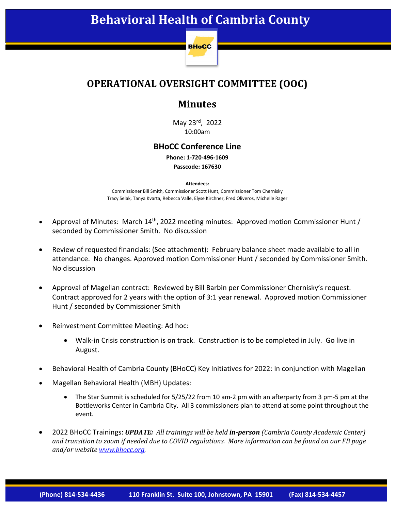# **Behavioral Health of Cambria County**



### **OPERATIONAL OVERSIGHT COMMITTEE (OOC)**

### **Minutes**

May 23rd, 2022 10:00am

#### **BHoCC Conference Line**

**Phone: 1-720-496-1609 Passcode: 167630**

#### **Attendees:**

Commissioner Bill Smith, Commissioner Scott Hunt, Commissioner Tom Chernisky Tracy Selak, Tanya Kvarta, Rebecca Valle, Elyse Kirchner, Fred Oliveros, Michelle Rager

- Approval of Minutes: March 14<sup>th</sup>, 2022 meeting minutes: Approved motion Commissioner Hunt / seconded by Commissioner Smith. No discussion
- Review of requested financials: (See attachment): February balance sheet made available to all in attendance. No changes. Approved motion Commissioner Hunt / seconded by Commissioner Smith. No discussion
- Approval of Magellan contract: Reviewed by Bill Barbin per Commissioner Chernisky's request. Contract approved for 2 years with the option of 3:1 year renewal. Approved motion Commissioner Hunt / seconded by Commissioner Smith
- Reinvestment Committee Meeting: Ad hoc:
	- Walk-in Crisis construction is on track. Construction is to be completed in July. Go live in August.
- Behavioral Health of Cambria County (BHoCC) Key Initiatives for 2022: In conjunction with Magellan
- Magellan Behavioral Health (MBH) Updates:
	- The Star Summit is scheduled for 5/25/22 from 10 am-2 pm with an afterparty from 3 pm-5 pm at the Bottleworks Center in Cambria City. All 3 commissioners plan to attend at some point throughout the event.
- 2022 BHoCC Trainings: *UPDATE: All trainings will be held in-person (Cambria County Academic Center) and transition to zoom if needed due to COVID regulations. More information can be found on our FB page and/or website [www.bhocc.org.](http://www.bhocc.org/)*